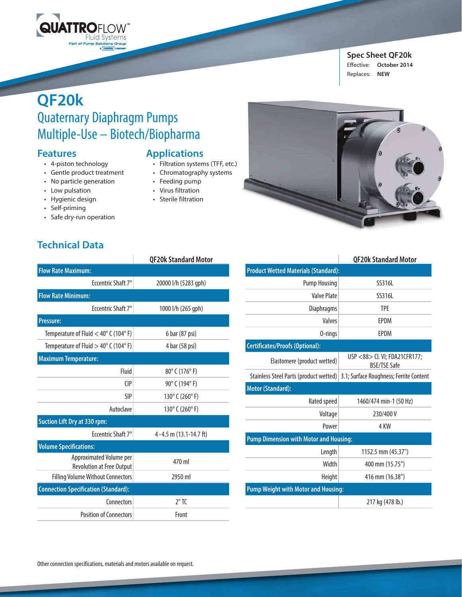

#### **Spec Sheet QF20k**  Effective: **October 2014** Replaces: **NEW**

# **QF20k** Quaternary Diaphragm Pumps Multiple-Use – Biotech/Biopharma

## **Features**

- 4-piston technology
- Gentle product treatment
- No particle generation
- Low pulsation
- Hygienic design

**Technical Data**

- Self-priming
- Safe dry-run operation

## **Applications**

- Filtration systems (TFF, etc.)
- Chromatography systems
- Feeding pump
- Virus filtration
- Sterile filtration



|                                                             | <b>QF20k Standard Motor</b>         |  |
|-------------------------------------------------------------|-------------------------------------|--|
| <b>Flow Rate Maximum:</b>                                   |                                     |  |
| Eccentric Shaft 7°                                          | 20000 l/h (5283 gph)                |  |
| <b>Flow Rate Minimum:</b>                                   |                                     |  |
| Eccentric Shaft 7°                                          | 1000 l/h (265 gph)                  |  |
| <b>Pressure:</b>                                            |                                     |  |
| Temperature of Fluid $<$ 40 $^{\circ}$ C (104 $^{\circ}$ F) | 6 bar (87 psi)                      |  |
| Temperature of Fluid $>$ 40 $^{\circ}$ C (104 $^{\circ}$ F) | 4 bar (58 psi)                      |  |
| <b>Maximum Temperature:</b>                                 |                                     |  |
| Fluid                                                       | $80^{\circ}$ C (176 $^{\circ}$ F)   |  |
| $\bigcap$                                                   | 90° C (194° F)                      |  |
| <b>SIP</b>                                                  | 130 $^{\circ}$ C (260 $^{\circ}$ F) |  |
| Autoclave                                                   | 130 $^{\circ}$ C (260 $^{\circ}$ F) |  |
| <b>Suction Lift Dry at 330 rpm:</b>                         |                                     |  |
| Freentric Shaft 7°                                          | 4-4.5 m (13.1-14.7 ft)              |  |
| <b>Volume Specifications:</b>                               |                                     |  |
| Approximated Volume per<br>Revolution at Free Output        | 470 ml                              |  |
| <b>Filling Volume Without Connectors</b>                    | 2950 ml                             |  |
| <b>Connection Specification (Standard):</b>                 |                                     |  |
| Connectors                                                  | $2"$ TC                             |  |
| <b>Position of Connectors</b>                               | Front                               |  |

|                                               | <b>QF20k Standard Motor</b>                          |  |
|-----------------------------------------------|------------------------------------------------------|--|
| <b>Product Wetted Materials (Standard):</b>   |                                                      |  |
| <b>Pump Housing</b>                           | SS316L                                               |  |
| Valve Plate                                   | SS316L                                               |  |
| Diaphragms                                    | <b>TPE</b>                                           |  |
| Valves                                        | <b>FPDM</b>                                          |  |
| 0-rings                                       | <b>FPDM</b>                                          |  |
| <b>Certificates/Proofs (Optional):</b>        |                                                      |  |
| Elastomere (product wetted)                   | USP <88> Cl. VI; FDA21CFR177;<br><b>BSF/TSF Safe</b> |  |
| Stainless Steel Parts (product wetted)        | 3.1; Surface Roughness; Ferrite Content              |  |
| <b>Motor (Standard):</b>                      |                                                      |  |
| Rated speed                                   | 1460/474 min-1 (50 Hz)                               |  |
| Voltage                                       | 230/400 V                                            |  |
| Power                                         | 4 KW                                                 |  |
| <b>Pump Dimension with Motor and Housing:</b> |                                                      |  |
| Length                                        | 1152.5 mm (45.37")                                   |  |
| Width                                         | 400 mm (15.75")                                      |  |
| Height                                        | 416 mm (16.38")                                      |  |
| <b>Pump Weight with Motor and Housing:</b>    |                                                      |  |
|                                               | 217 kg (478 lb.)                                     |  |
|                                               |                                                      |  |